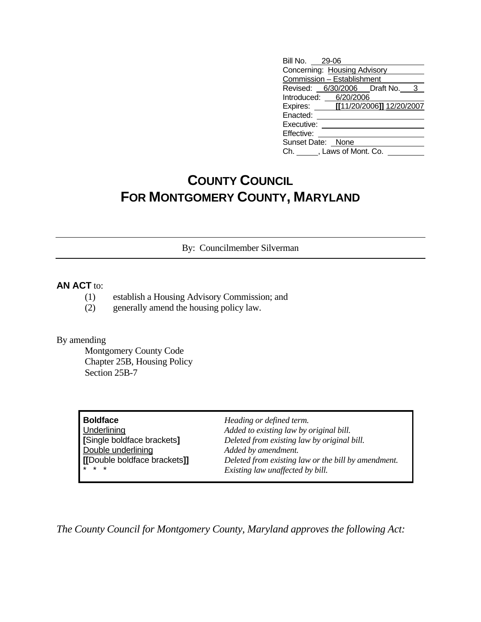| Bill No. 29-06               |                                    |  |
|------------------------------|------------------------------------|--|
| Concerning: Housing Advisory |                                    |  |
| Commission - Establishment   |                                    |  |
|                              | Revised: 6/30/2006 Draft No. 3     |  |
| Introduced: 6/20/2006        |                                    |  |
|                              | Expires: [[11/20/2006]] 12/20/2007 |  |
| Enacted:                     |                                    |  |
| Executive:                   |                                    |  |
| Effective:                   |                                    |  |
| Sunset Date: None            |                                    |  |
| Ch. , Laws of Mont. Co.      |                                    |  |

## **COUNTY COUNCIL FOR MONTGOMERY COUNTY, MARYLAND**

By: Councilmember Silverman

## **AN ACT** to:

- (1) establish a Housing Advisory Commission; and
- (2) generally amend the housing policy law.

## By amending

 Montgomery County Code Chapter 25B, Housing Policy Section 25B-7

| Boldface                     | Heading $o$ |
|------------------------------|-------------|
| Underlining                  | Added to e. |
| Single boldface brackets]    | Deleted fro |
| Double underlining           | Added by a  |
| [[Double boldface brackets]] | Deleted fro |
|                              | Existing la |

**Boldface** *Heading or defined term.* Underlining *Added to existing law by original bill.* **[**Single boldface brackets**]** *Deleted from existing law by original bill.* amendment.  $\Omega$ <sub>*bom existing law or the bill by amendment.*</sub>  $w$  *unaffected by bill.* 

*The County Council for Montgomery County, Maryland approves the following Act:*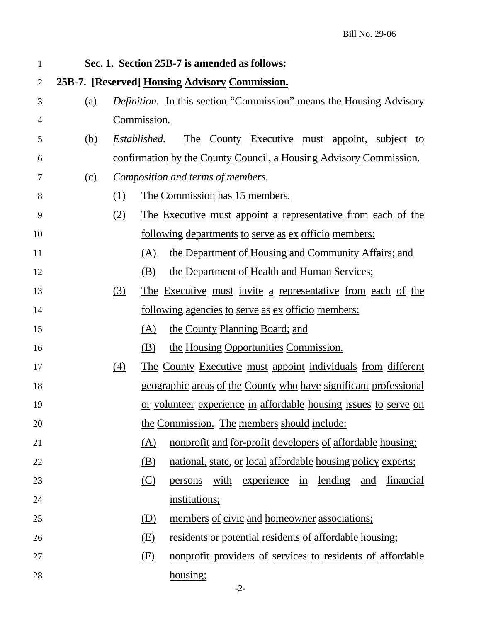| 1  |                                                |                                                                            |                                                                     | Sec. 1. Section 25B-7 is amended as follows:                        |  |
|----|------------------------------------------------|----------------------------------------------------------------------------|---------------------------------------------------------------------|---------------------------------------------------------------------|--|
| 2  | 25B-7. [Reserved] Housing Advisory Commission. |                                                                            |                                                                     |                                                                     |  |
| 3  | (a)                                            | <i>Definition.</i> In this section "Commission" means the Housing Advisory |                                                                     |                                                                     |  |
| 4  |                                                |                                                                            | Commission.                                                         |                                                                     |  |
| 5  | (b)                                            | The County Executive must appoint, subject to<br>Established.              |                                                                     |                                                                     |  |
| 6  |                                                | <u>confirmation by the County Council, a Housing Advisory Commission.</u>  |                                                                     |                                                                     |  |
| 7  | $\Omega$                                       |                                                                            |                                                                     | <u>Composition and terms of members.</u>                            |  |
| 8  |                                                | (1)                                                                        | The Commission has 15 members.                                      |                                                                     |  |
| 9  |                                                | (2)                                                                        | <u>The Executive must appoint a representative from each of the</u> |                                                                     |  |
| 10 |                                                |                                                                            |                                                                     | <u>following departments to serve as ex officio members:</u>        |  |
| 11 |                                                |                                                                            | (A)                                                                 | the Department of Housing and Community Affairs; and                |  |
| 12 |                                                | the Department of Health and Human Services;<br>(B)                        |                                                                     |                                                                     |  |
| 13 |                                                | <u>The Executive must invite a representative from each of the</u><br>(3)  |                                                                     |                                                                     |  |
| 14 |                                                | <u>following agencies to serve as ex officio members:</u>                  |                                                                     |                                                                     |  |
| 15 |                                                |                                                                            | (A)                                                                 | the County Planning Board; and                                      |  |
| 16 |                                                |                                                                            | (B)                                                                 | the Housing Opportunities Commission.                               |  |
| 17 |                                                | (4)                                                                        |                                                                     | The County Executive must appoint individuals from different        |  |
| 18 |                                                | <u>geographic areas of the County who have significant professional</u>    |                                                                     |                                                                     |  |
| 19 |                                                | <u>or volunteer experience in affordable housing issues to serve on</u>    |                                                                     |                                                                     |  |
| 20 |                                                | the Commission. The members should include:                                |                                                                     |                                                                     |  |
| 21 |                                                |                                                                            | (A)                                                                 | <u>nonprofit and for-profit developers of affordable housing;</u>   |  |
| 22 |                                                |                                                                            | (B)                                                                 | national, state, or local affordable housing policy experts;        |  |
| 23 |                                                |                                                                            | $\circ$                                                             | experience in<br><u>lending and</u><br>with<br>financial<br>persons |  |
| 24 |                                                |                                                                            |                                                                     | institutions;                                                       |  |
| 25 |                                                |                                                                            | (D)                                                                 | members of civic and homeowner associations;                        |  |
| 26 |                                                |                                                                            | (E)                                                                 | <u>residents or potential residents of affordable housing;</u>      |  |
| 27 |                                                |                                                                            | (F)                                                                 | nonprofit providers of services to residents of affordable          |  |
| 28 |                                                |                                                                            |                                                                     | housing;                                                            |  |
|    |                                                |                                                                            |                                                                     | $-2-$                                                               |  |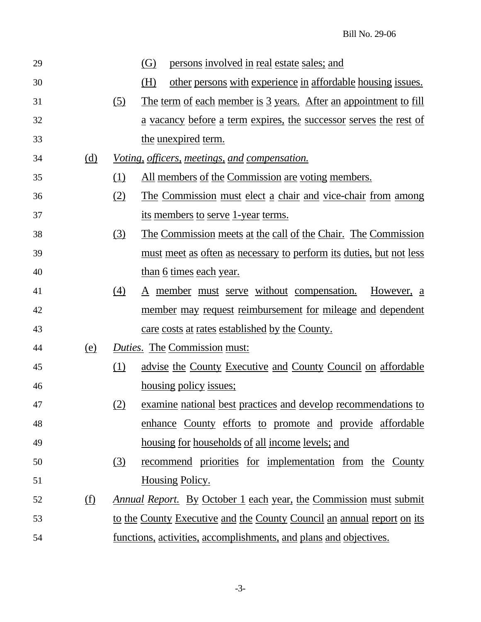| 29 |            |                                                                        | persons involved in real estate sales; and<br>(G)                          |
|----|------------|------------------------------------------------------------------------|----------------------------------------------------------------------------|
| 30 |            |                                                                        | other persons with experience in affordable housing issues.<br>(H)         |
| 31 |            | <u>(5)</u>                                                             | The term of each member is 3 years. After an appointment to fill           |
| 32 |            |                                                                        | <u>a vacancy before a term expires, the successor serves the rest of</u>   |
| 33 |            |                                                                        | the <u>unexpired</u> term.                                                 |
| 34 | <u>(d)</u> |                                                                        | <u>Voting, officers, meetings, and compensation.</u>                       |
| 35 |            | (1)                                                                    | <u>All members of the Commission are voting members.</u>                   |
| 36 |            | (2)                                                                    | <u>The Commission must elect a chair and vice-chair from among</u>         |
| 37 |            |                                                                        | <u>its members to serve 1-year terms.</u>                                  |
| 38 |            | <u>(3)</u>                                                             | <u>The Commission meets at the call of the Chair. The Commission</u>       |
| 39 |            |                                                                        | <u>must meet as often as necessary to perform its duties, but not less</u> |
| 40 |            |                                                                        | <u>than 6 times each year.</u>                                             |
| 41 |            | $\left(4\right)$                                                       | <u>A member must serve without compensation.</u><br>However, a             |
| 42 |            |                                                                        | <u>member may request reimbursement for mileage and dependent</u>          |
| 43 |            |                                                                        | care costs at rates established by the County.                             |
| 44 | (e)        |                                                                        | <b>Duties.</b> The Commission must:                                        |
| 45 |            | (1)                                                                    | <u>advise the County Executive and County Council on affordable</u>        |
| 46 |            |                                                                        | housing policy issues;                                                     |
| 47 |            | <u>(2)</u>                                                             | examine national best practices and develop recommendations to             |
| 48 |            |                                                                        | enhance County efforts to promote and provide affordable                   |
| 49 |            |                                                                        | housing for households of all income levels; and                           |
| 50 |            | (3)                                                                    | <u>recommend</u> priorities for implementation from the County             |
| 51 |            |                                                                        | <u>Housing Policy.</u>                                                     |
| 52 | <u>(f)</u> |                                                                        | <u>Annual Report. By October 1 each year, the Commission must submit</u>   |
| 53 |            | to the County Executive and the County Council an annual report on its |                                                                            |
| 54 |            |                                                                        | <u>functions, activities, accomplishments, and plans and objectives.</u>   |